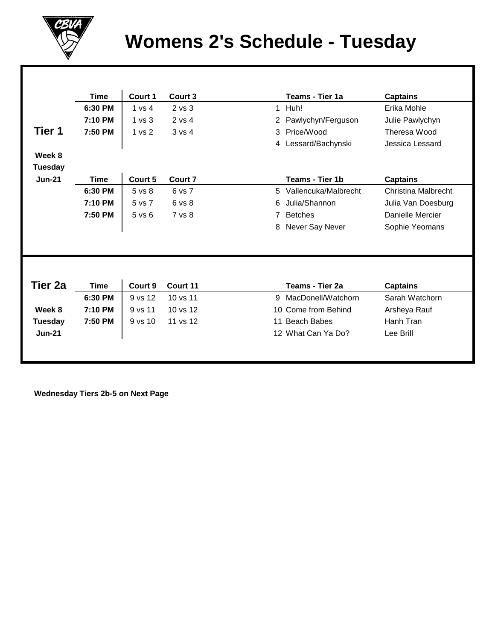

## **Womens 2's Schedule - Tuesday**

|                | <b>Time</b> | Court 1           | Court 3    |                | Teams - Tier 1a      | <b>Captains</b>            |
|----------------|-------------|-------------------|------------|----------------|----------------------|----------------------------|
|                | 6:30 PM     | 1 vs 4            | $2$ vs $3$ |                | 1 Huh!               | Erika Mohle                |
|                | 7:10 PM     | 1 <sub>vs</sub> 3 | $2$ vs $4$ | $\overline{2}$ | Pawlychyn/Ferguson   | Julie Pawlychyn            |
| Tier 1         | 7:50 PM     | 1 vs 2            | 3 vs 4     | 3              | Price/Wood           | Theresa Wood               |
|                |             |                   |            |                | 4 Lessard/Bachynski  | Jessica Lessard            |
| Week 8         |             |                   |            |                |                      |                            |
| <b>Tuesday</b> |             |                   |            |                |                      |                            |
| <b>Jun-21</b>  | <b>Time</b> | Court 5           | Court 7    |                | Teams - Tier 1b      | <b>Captains</b>            |
|                | 6:30 PM     | 5 vs 8            | 6 vs 7     | 5.             | Vallencuka/Malbrecht | <b>Christina Malbrecht</b> |
|                | 7:10 PM     | 5 vs 7            | 6 vs 8     | 6              | Julia/Shannon        | Julia Van Doesburg         |
|                | 7:50 PM     | $5$ vs $6$        | 7 vs 8     | 7              | <b>Betches</b>       | Danielle Mercier           |
|                |             |                   |            | 8              | Never Say Never      | Sophie Yeomans             |
|                |             |                   |            |                |                      |                            |
|                |             |                   |            |                |                      |                            |
| Tier 2a        | <b>Time</b> | Court 9           | Court 11   |                | Teams - Tier 2a      | <b>Captains</b>            |
|                | 6:30 PM     | 9 vs 12           | 10 vs 11   | 9              | MacDonell/Watchorn   | Sarah Watchorn             |
| Week 8         | 7:10 PM     | 9 vs 11           | 10 vs 12   |                | 10 Come from Behind  | Arsheya Rauf               |
| <b>Tuesday</b> | 7:50 PM     | 9 vs 10           | 11 vs 12   | 11             | Beach Babes          | Hanh Tran                  |
| $Jun-21$       |             |                   |            |                | 12 What Can Ya Do?   | Lee Brill                  |
|                |             |                   |            |                |                      |                            |
|                |             |                   |            |                |                      |                            |

 **Wednesday Tiers 2b-5 on Next Page**